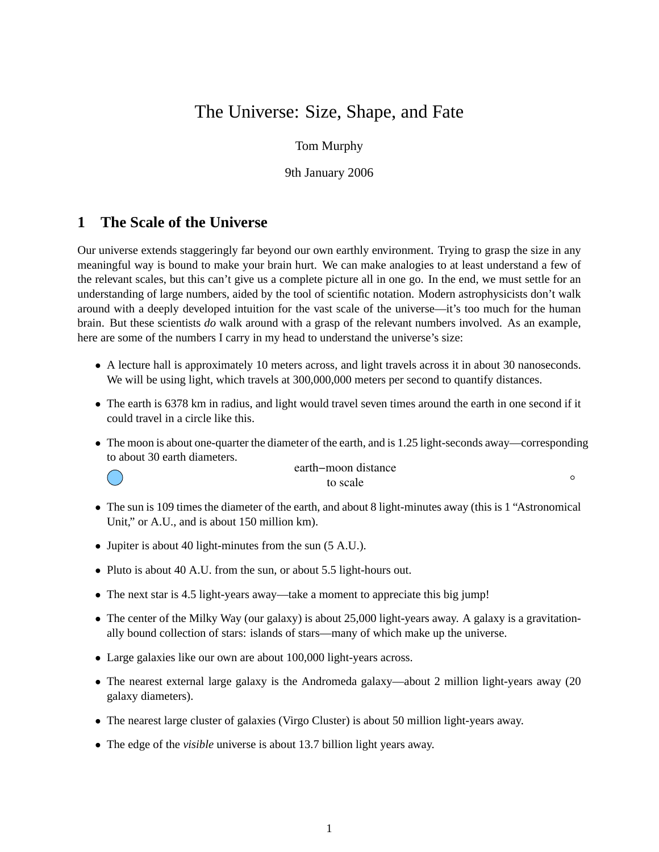# The Universe: Size, Shape, and Fate

#### Tom Murphy

9th January 2006

# **1 The Scale of the Universe**

Our universe extends staggeringly far beyond our own earthly environment. Trying to grasp the size in any meaningful way is bound to make your brain hurt. We can make analogies to at least understand a few of the relevant scales, but this can't give us a complete picture all in one go. In the end, we must settle for an understanding of large numbers, aided by the tool of scientific notation. Modern astrophysicists don't walk around with a deeply developed intuition for the vast scale of the universe—it's too much for the human brain. But these scientists *do* walk around with a grasp of the relevant numbers involved. As an example, here are some of the numbers I carry in my head to understand the universe's size:

- A lecture hall is approximately 10 meters across, and light travels across it in about 30 nanoseconds. We will be using light, which travels at 300,000,000 meters per second to quantify distances.
- The earth is 6378 km in radius, and light would travel seven times around the earth in one second if it could travel in a circle like this.
- The moon is about one-quarter the diameter of the earth, and is 1.25 light-seconds away—corresponding to about 30 earth diameters.



to scale earth−moon distance

 $\circ$ 

- The sun is 109 times the diameter of the earth, and about 8 light-minutes away (this is 1 "Astronomical") Unit," or A.U., and is about 150 million km).
- Jupiter is about 40 light-minutes from the sun (5 A.U.).
- Pluto is about 40 A.U. from the sun, or about 5.5 light-hours out.
- The next star is 4.5 light-years away—take a moment to appreciate this big jump!
- The center of the Milky Way (our galaxy) is about 25,000 light-years away. A galaxy is a gravitationally bound collection of stars: islands of stars—many of which make up the universe.
- Large galaxies like our own are about 100,000 light-years across.
- The nearest external large galaxy is the Andromeda galaxy—about 2 million light-years away (20 galaxy diameters).
- The nearest large cluster of galaxies (Virgo Cluster) is about 50 million light-years away.
- The edge of the *visible* universe is about 13.7 billion light years away.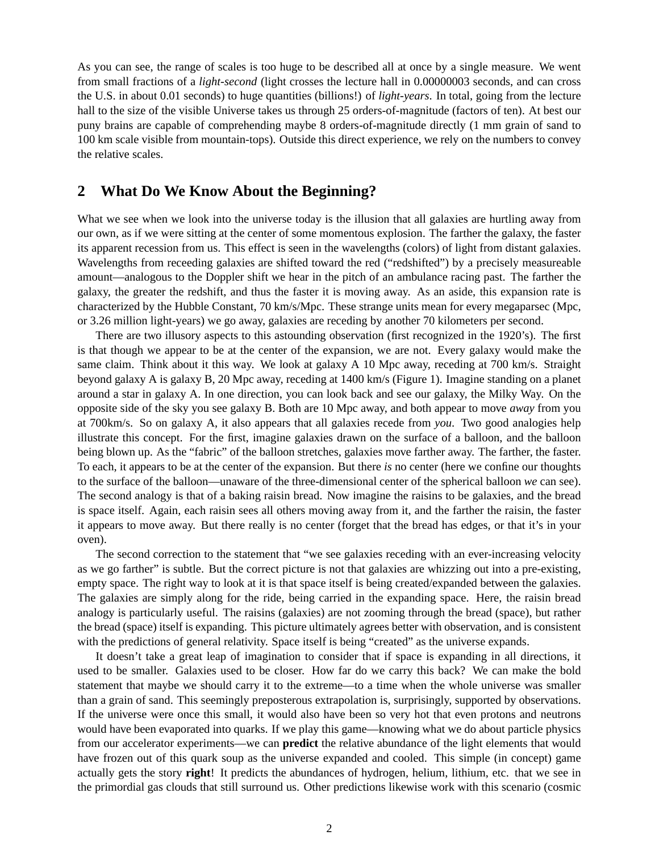As you can see, the range of scales is too huge to be described all at once by a single measure. We went from small fractions of a *light-second* (light crosses the lecture hall in 0.00000003 seconds, and can cross the U.S. in about 0.01 seconds) to huge quantities (billions!) of *light-years*. In total, going from the lecture hall to the size of the visible Universe takes us through 25 orders-of-magnitude (factors of ten). At best our puny brains are capable of comprehending maybe 8 orders-of-magnitude directly (1 mm grain of sand to 100 km scale visible from mountain-tops). Outside this direct experience, we rely on the numbers to convey the relative scales.

# **2 What Do We Know About the Beginning?**

What we see when we look into the universe today is the illusion that all galaxies are hurtling away from our own, as if we were sitting at the center of some momentous explosion. The farther the galaxy, the faster its apparent recession from us. This effect is seen in the wavelengths (colors) of light from distant galaxies. Wavelengths from receeding galaxies are shifted toward the red ("redshifted") by a precisely measureable amount—analogous to the Doppler shift we hear in the pitch of an ambulance racing past. The farther the galaxy, the greater the redshift, and thus the faster it is moving away. As an aside, this expansion rate is characterized by the Hubble Constant, 70 km/s/Mpc. These strange units mean for every megaparsec (Mpc, or 3.26 million light-years) we go away, galaxies are receding by another 70 kilometers per second.

There are two illusory aspects to this astounding observation (first recognized in the 1920's). The first is that though we appear to be at the center of the expansion, we are not. Every galaxy would make the same claim. Think about it this way. We look at galaxy A 10 Mpc away, receding at 700 km/s. Straight beyond galaxy A is galaxy B, 20 Mpc away, receding at 1400 km/s (Figure 1). Imagine standing on a planet around a star in galaxy A. In one direction, you can look back and see our galaxy, the Milky Way. On the opposite side of the sky you see galaxy B. Both are 10 Mpc away, and both appear to move *away* from you at 700km/s. So on galaxy A, it also appears that all galaxies recede from *you*. Two good analogies help illustrate this concept. For the first, imagine galaxies drawn on the surface of a balloon, and the balloon being blown up. As the "fabric" of the balloon stretches, galaxies move farther away. The farther, the faster. To each, it appears to be at the center of the expansion. But there *is* no center (here we confine our thoughts to the surface of the balloon—unaware of the three-dimensional center of the spherical balloon *we* can see). The second analogy is that of a baking raisin bread. Now imagine the raisins to be galaxies, and the bread is space itself. Again, each raisin sees all others moving away from it, and the farther the raisin, the faster it appears to move away. But there really is no center (forget that the bread has edges, or that it's in your oven).

The second correction to the statement that "we see galaxies receding with an ever-increasing velocity as we go farther" is subtle. But the correct picture is not that galaxies are whizzing out into a pre-existing, empty space. The right way to look at it is that space itself is being created/expanded between the galaxies. The galaxies are simply along for the ride, being carried in the expanding space. Here, the raisin bread analogy is particularly useful. The raisins (galaxies) are not zooming through the bread (space), but rather the bread (space) itself is expanding. This picture ultimately agrees better with observation, and is consistent with the predictions of general relativity. Space itself is being "created" as the universe expands.

It doesn't take a great leap of imagination to consider that if space is expanding in all directions, it used to be smaller. Galaxies used to be closer. How far do we carry this back? We can make the bold statement that maybe we should carry it to the extreme—to a time when the whole universe was smaller than a grain of sand. This seemingly preposterous extrapolation is, surprisingly, supported by observations. If the universe were once this small, it would also have been so very hot that even protons and neutrons would have been evaporated into quarks. If we play this game—knowing what we do about particle physics from our accelerator experiments—we can **predict** the relative abundance of the light elements that would have frozen out of this quark soup as the universe expanded and cooled. This simple (in concept) game actually gets the story **right**! It predicts the abundances of hydrogen, helium, lithium, etc. that we see in the primordial gas clouds that still surround us. Other predictions likewise work with this scenario (cosmic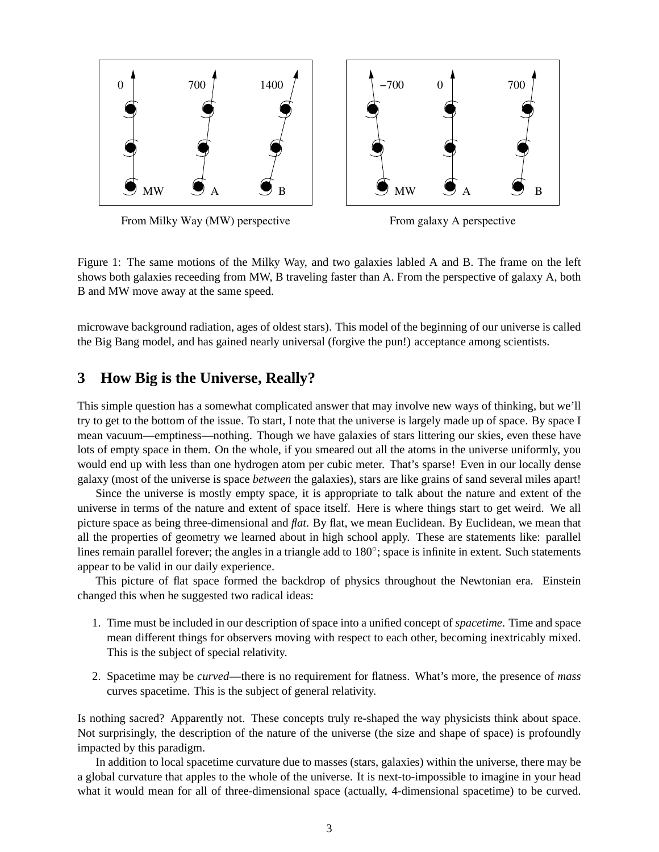



Figure 1: The same motions of the Milky Way, and two galaxies labled A and B. The frame on the left shows both galaxies receeding from MW, B traveling faster than A. From the perspective of galaxy A, both B and MW move away at the same speed.

microwave background radiation, ages of oldest stars). This model of the beginning of our universe is called the Big Bang model, and has gained nearly universal (forgive the pun!) acceptance among scientists.

# **3 How Big is the Universe, Really?**

This simple question has a somewhat complicated answer that may involve new ways of thinking, but we'll try to get to the bottom of the issue. To start, I note that the universe is largely made up of space. By space I mean vacuum—emptiness—nothing. Though we have galaxies of stars littering our skies, even these have lots of empty space in them. On the whole, if you smeared out all the atoms in the universe uniformly, you would end up with less than one hydrogen atom per cubic meter. That's sparse! Even in our locally dense galaxy (most of the universe is space *between* the galaxies), stars are like grains of sand several miles apart!

Since the universe is mostly empty space, it is appropriate to talk about the nature and extent of the universe in terms of the nature and extent of space itself. Here is where things start to get weird. We all picture space as being three-dimensional and *flat*. By flat, we mean Euclidean. By Euclidean, we mean that all the properties of geometry we learned about in high school apply. These are statements like: parallel lines remain parallel forever; the angles in a triangle add to 180°; space is infinite in extent. Such statements appear to be valid in our daily experience.

This picture of flat space formed the backdrop of physics throughout the Newtonian era. Einstein changed this when he suggested two radical ideas:

- 1. Time must be included in our description of space into a unified concept of *spacetime*. Time and space mean different things for observers moving with respect to each other, becoming inextricably mixed. This is the subject of special relativity.
- 2. Spacetime may be *curved*—there is no requirement for flatness. What's more, the presence of *mass* curves spacetime. This is the subject of general relativity.

Is nothing sacred? Apparently not. These concepts truly re-shaped the way physicists think about space. Not surprisingly, the description of the nature of the universe (the size and shape of space) is profoundly impacted by this paradigm.

In addition to local spacetime curvature due to masses (stars, galaxies) within the universe, there may be a global curvature that apples to the whole of the universe. It is next-to-impossible to imagine in your head what it would mean for all of three-dimensional space (actually, 4-dimensional spacetime) to be curved.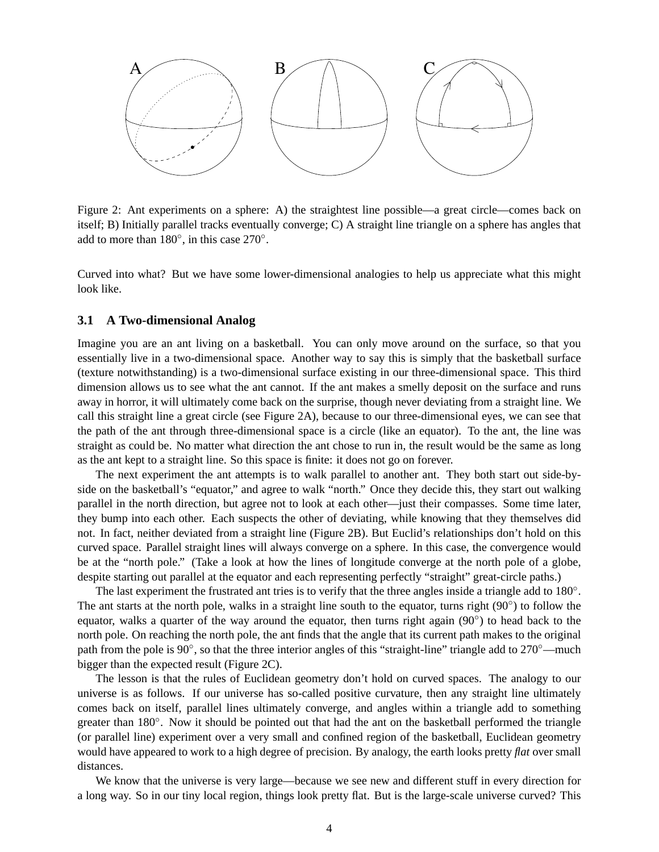

Figure 2: Ant experiments on a sphere: A) the straightest line possible—a great circle—comes back on itself; B) Initially parallel tracks eventually converge; C) A straight line triangle on a sphere has angles that add to more than  $180^\circ$ , in this case  $270^\circ$ .

Curved into what? But we have some lower-dimensional analogies to help us appreciate what this might look like.

#### **3.1 A Two-dimensional Analog**

Imagine you are an ant living on a basketball. You can only move around on the surface, so that you essentially live in a two-dimensional space. Another way to say this is simply that the basketball surface (texture notwithstanding) is a two-dimensional surface existing in our three-dimensional space. This third dimension allows us to see what the ant cannot. If the ant makes a smelly deposit on the surface and runs away in horror, it will ultimately come back on the surprise, though never deviating from a straight line. We call this straight line a great circle (see Figure 2A), because to our three-dimensional eyes, we can see that the path of the ant through three-dimensional space is a circle (like an equator). To the ant, the line was straight as could be. No matter what direction the ant chose to run in, the result would be the same as long as the ant kept to a straight line. So this space is finite: it does not go on forever.

The next experiment the ant attempts is to walk parallel to another ant. They both start out side-byside on the basketball's "equator," and agree to walk "north." Once they decide this, they start out walking parallel in the north direction, but agree not to look at each other—just their compasses. Some time later, they bump into each other. Each suspects the other of deviating, while knowing that they themselves did not. In fact, neither deviated from a straight line (Figure 2B). But Euclid's relationships don't hold on this curved space. Parallel straight lines will always converge on a sphere. In this case, the convergence would be at the "north pole." (Take a look at how the lines of longitude converge at the north pole of a globe, despite starting out parallel at the equator and each representing perfectly "straight" great-circle paths.)

The last experiment the frustrated ant tries is to verify that the three angles inside a triangle add to 180°. The ant starts at the north pole, walks in a straight line south to the equator, turns right (90°) to follow the equator, walks a quarter of the way around the equator, then turns right again (90°) to head back to the north pole. On reaching the north pole, the ant finds that the angle that its current path makes to the original path from the pole is 90°, so that the three interior angles of this "straight-line" triangle add to 270°—much bigger than the expected result (Figure 2C).

The lesson is that the rules of Euclidean geometry don't hold on curved spaces. The analogy to our universe is as follows. If our universe has so-called positive curvature, then any straight line ultimately comes back on itself, parallel lines ultimately converge, and angles within a triangle add to something greater than 180°. Now it should be pointed out that had the ant on the basketball performed the triangle (or parallel line) experiment over a very small and confined region of the basketball, Euclidean geometry would have appeared to work to a high degree of precision. By analogy, the earth looks pretty *flat* over small distances.

We know that the universe is very large—because we see new and different stuff in every direction for a long way. So in our tiny local region, things look pretty flat. But is the large-scale universe curved? This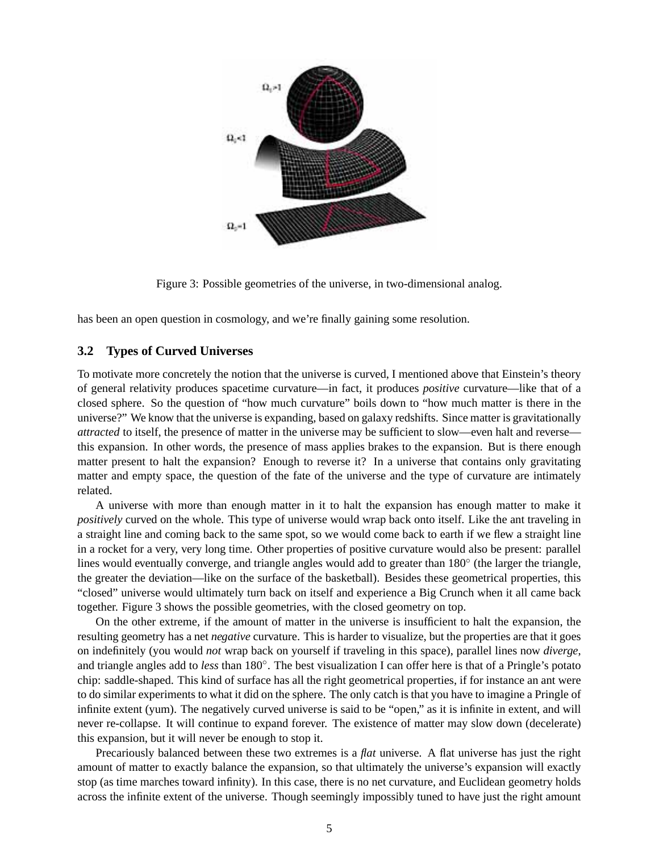

Figure 3: Possible geometries of the universe, in two-dimensional analog.

has been an open question in cosmology, and we're finally gaining some resolution.

#### **3.2 Types of Curved Universes**

To motivate more concretely the notion that the universe is curved, I mentioned above that Einstein's theory of general relativity produces spacetime curvature—in fact, it produces *positive* curvature—like that of a closed sphere. So the question of "how much curvature" boils down to "how much matter is there in the universe?" We know that the universe is expanding, based on galaxy redshifts. Since matter is gravitationally *attracted* to itself, the presence of matter in the universe may be sufficient to slow—even halt and reverse this expansion. In other words, the presence of mass applies brakes to the expansion. But is there enough matter present to halt the expansion? Enough to reverse it? In a universe that contains only gravitating matter and empty space, the question of the fate of the universe and the type of curvature are intimately related.

A universe with more than enough matter in it to halt the expansion has enough matter to make it *positively* curved on the whole. This type of universe would wrap back onto itself. Like the ant traveling in a straight line and coming back to the same spot, so we would come back to earth if we flew a straight line in a rocket for a very, very long time. Other properties of positive curvature would also be present: parallel lines would eventually converge, and triangle angles would add to greater than 180° (the larger the triangle, the greater the deviation—like on the surface of the basketball). Besides these geometrical properties, this "closed" universe would ultimately turn back on itself and experience a Big Crunch when it all came back together. Figure 3 shows the possible geometries, with the closed geometry on top.

On the other extreme, if the amount of matter in the universe is insufficient to halt the expansion, the resulting geometry has a net *negative* curvature. This is harder to visualize, but the properties are that it goes on indefinitely (you would *not* wrap back on yourself if traveling in this space), parallel lines now *diverge*, and triangle angles add to *less* than 180◦ . The best visualization I can offer here is that of a Pringle's potato chip: saddle-shaped. This kind of surface has all the right geometrical properties, if for instance an ant were to do similar experiments to what it did on the sphere. The only catch is that you have to imagine a Pringle of infinite extent (yum). The negatively curved universe is said to be "open," as it is infinite in extent, and will never re-collapse. It will continue to expand forever. The existence of matter may slow down (decelerate) this expansion, but it will never be enough to stop it.

Precariously balanced between these two extremes is a *flat* universe. A flat universe has just the right amount of matter to exactly balance the expansion, so that ultimately the universe's expansion will exactly stop (as time marches toward infinity). In this case, there is no net curvature, and Euclidean geometry holds across the infinite extent of the universe. Though seemingly impossibly tuned to have just the right amount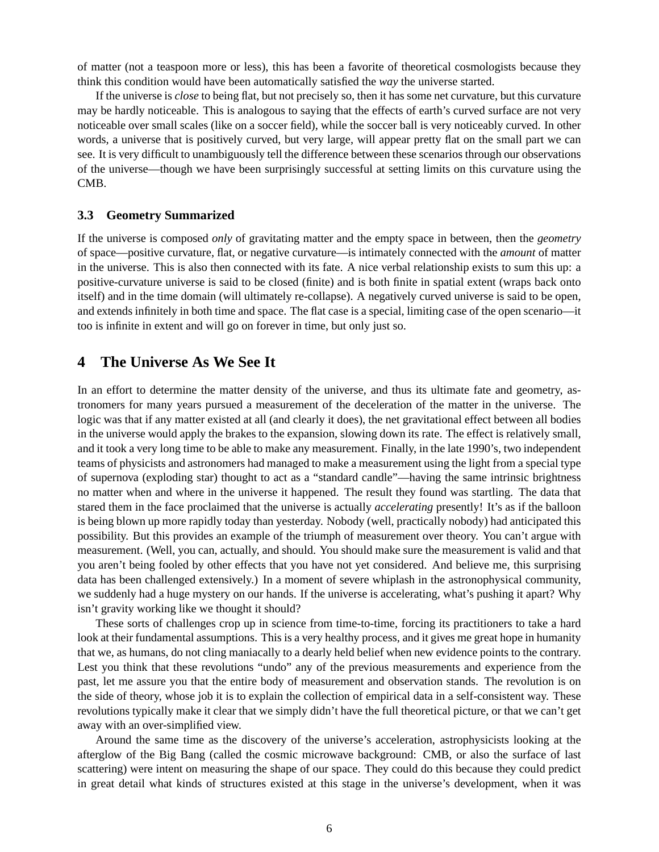of matter (not a teaspoon more or less), this has been a favorite of theoretical cosmologists because they think this condition would have been automatically satisfied the *way* the universe started.

If the universe is *close* to being flat, but not precisely so, then it has some net curvature, but this curvature may be hardly noticeable. This is analogous to saying that the effects of earth's curved surface are not very noticeable over small scales (like on a soccer field), while the soccer ball is very noticeably curved. In other words, a universe that is positively curved, but very large, will appear pretty flat on the small part we can see. It is very difficult to unambiguously tell the difference between these scenarios through our observations of the universe—though we have been surprisingly successful at setting limits on this curvature using the CMB.

#### **3.3 Geometry Summarized**

If the universe is composed *only* of gravitating matter and the empty space in between, then the *geometry* of space—positive curvature, flat, or negative curvature—is intimately connected with the *amount* of matter in the universe. This is also then connected with its fate. A nice verbal relationship exists to sum this up: a positive-curvature universe is said to be closed (finite) and is both finite in spatial extent (wraps back onto itself) and in the time domain (will ultimately re-collapse). A negatively curved universe is said to be open, and extends infinitely in both time and space. The flat case is a special, limiting case of the open scenario—it too is infinite in extent and will go on forever in time, but only just so.

# **4 The Universe As We See It**

In an effort to determine the matter density of the universe, and thus its ultimate fate and geometry, astronomers for many years pursued a measurement of the deceleration of the matter in the universe. The logic was that if any matter existed at all (and clearly it does), the net gravitational effect between all bodies in the universe would apply the brakes to the expansion, slowing down its rate. The effect is relatively small, and it took a very long time to be able to make any measurement. Finally, in the late 1990's, two independent teams of physicists and astronomers had managed to make a measurement using the light from a special type of supernova (exploding star) thought to act as a "standard candle"—having the same intrinsic brightness no matter when and where in the universe it happened. The result they found was startling. The data that stared them in the face proclaimed that the universe is actually *accelerating* presently! It's as if the balloon is being blown up more rapidly today than yesterday. Nobody (well, practically nobody) had anticipated this possibility. But this provides an example of the triumph of measurement over theory. You can't argue with measurement. (Well, you can, actually, and should. You should make sure the measurement is valid and that you aren't being fooled by other effects that you have not yet considered. And believe me, this surprising data has been challenged extensively.) In a moment of severe whiplash in the astronophysical community, we suddenly had a huge mystery on our hands. If the universe is accelerating, what's pushing it apart? Why isn't gravity working like we thought it should?

These sorts of challenges crop up in science from time-to-time, forcing its practitioners to take a hard look at their fundamental assumptions. This is a very healthy process, and it gives me great hope in humanity that we, as humans, do not cling maniacally to a dearly held belief when new evidence points to the contrary. Lest you think that these revolutions "undo" any of the previous measurements and experience from the past, let me assure you that the entire body of measurement and observation stands. The revolution is on the side of theory, whose job it is to explain the collection of empirical data in a self-consistent way. These revolutions typically make it clear that we simply didn't have the full theoretical picture, or that we can't get away with an over-simplified view.

Around the same time as the discovery of the universe's acceleration, astrophysicists looking at the afterglow of the Big Bang (called the cosmic microwave background: CMB, or also the surface of last scattering) were intent on measuring the shape of our space. They could do this because they could predict in great detail what kinds of structures existed at this stage in the universe's development, when it was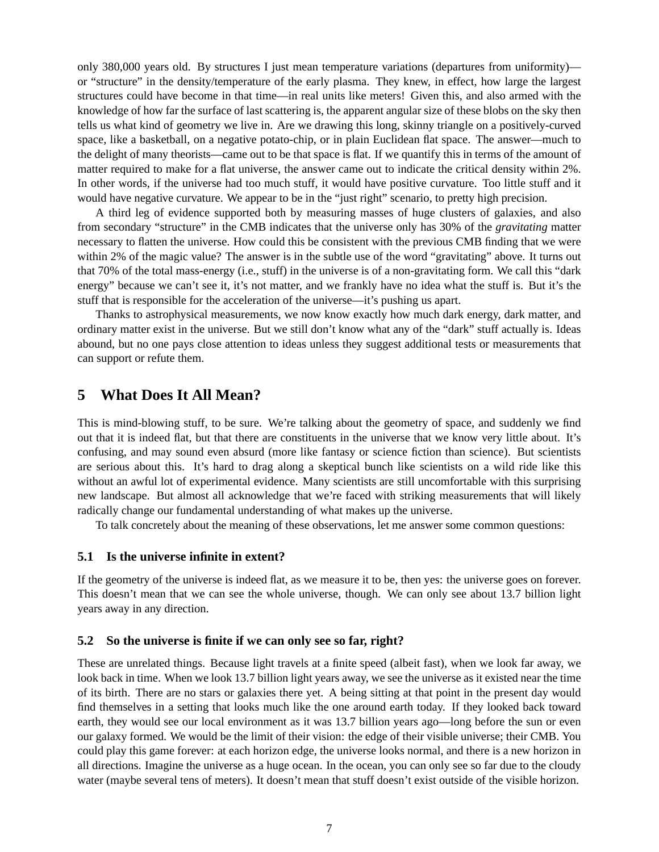only 380,000 years old. By structures I just mean temperature variations (departures from uniformity) or "structure" in the density/temperature of the early plasma. They knew, in effect, how large the largest structures could have become in that time—in real units like meters! Given this, and also armed with the knowledge of how far the surface of last scattering is, the apparent angular size of these blobs on the sky then tells us what kind of geometry we live in. Are we drawing this long, skinny triangle on a positively-curved space, like a basketball, on a negative potato-chip, or in plain Euclidean flat space. The answer—much to the delight of many theorists—came out to be that space is flat. If we quantify this in terms of the amount of matter required to make for a flat universe, the answer came out to indicate the critical density within 2%. In other words, if the universe had too much stuff, it would have positive curvature. Too little stuff and it would have negative curvature. We appear to be in the "just right" scenario, to pretty high precision.

A third leg of evidence supported both by measuring masses of huge clusters of galaxies, and also from secondary "structure" in the CMB indicates that the universe only has 30% of the *gravitating* matter necessary to flatten the universe. How could this be consistent with the previous CMB finding that we were within 2% of the magic value? The answer is in the subtle use of the word "gravitating" above. It turns out that 70% of the total mass-energy (i.e., stuff) in the universe is of a non-gravitating form. We call this "dark energy" because we can't see it, it's not matter, and we frankly have no idea what the stuff is. But it's the stuff that is responsible for the acceleration of the universe—it's pushing us apart.

Thanks to astrophysical measurements, we now know exactly how much dark energy, dark matter, and ordinary matter exist in the universe. But we still don't know what any of the "dark" stuff actually is. Ideas abound, but no one pays close attention to ideas unless they suggest additional tests or measurements that can support or refute them.

# **5 What Does It All Mean?**

This is mind-blowing stuff, to be sure. We're talking about the geometry of space, and suddenly we find out that it is indeed flat, but that there are constituents in the universe that we know very little about. It's confusing, and may sound even absurd (more like fantasy or science fiction than science). But scientists are serious about this. It's hard to drag along a skeptical bunch like scientists on a wild ride like this without an awful lot of experimental evidence. Many scientists are still uncomfortable with this surprising new landscape. But almost all acknowledge that we're faced with striking measurements that will likely radically change our fundamental understanding of what makes up the universe.

To talk concretely about the meaning of these observations, let me answer some common questions:

#### **5.1 Is the universe infinite in extent?**

If the geometry of the universe is indeed flat, as we measure it to be, then yes: the universe goes on forever. This doesn't mean that we can see the whole universe, though. We can only see about 13.7 billion light years away in any direction.

#### **5.2 So the universe is finite if we can only see so far, right?**

These are unrelated things. Because light travels at a finite speed (albeit fast), when we look far away, we look back in time. When we look 13.7 billion light years away, we see the universe as it existed near the time of its birth. There are no stars or galaxies there yet. A being sitting at that point in the present day would find themselves in a setting that looks much like the one around earth today. If they looked back toward earth, they would see our local environment as it was 13.7 billion years ago—long before the sun or even our galaxy formed. We would be the limit of their vision: the edge of their visible universe; their CMB. You could play this game forever: at each horizon edge, the universe looks normal, and there is a new horizon in all directions. Imagine the universe as a huge ocean. In the ocean, you can only see so far due to the cloudy water (maybe several tens of meters). It doesn't mean that stuff doesn't exist outside of the visible horizon.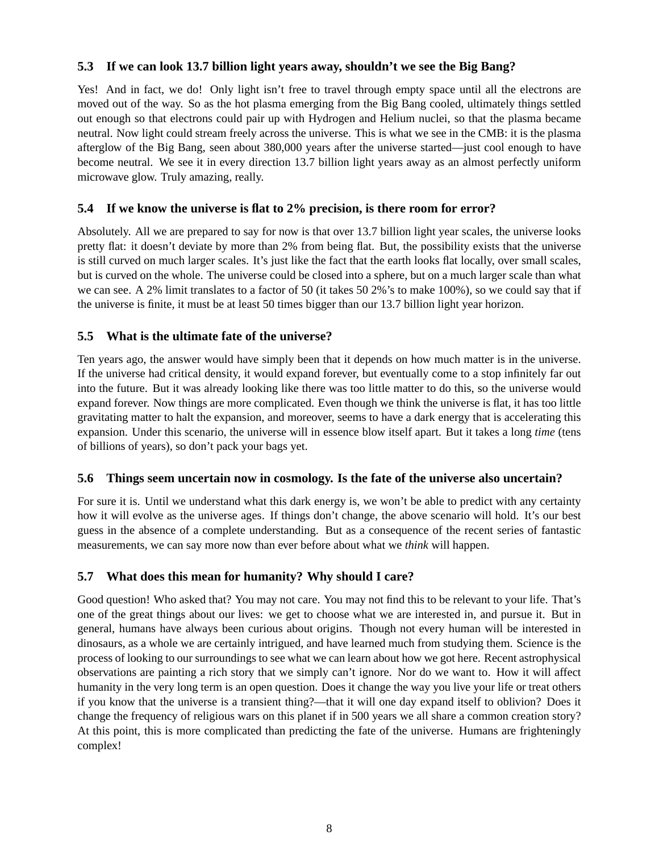### **5.3 If we can look 13.7 billion light years away, shouldn't we see the Big Bang?**

Yes! And in fact, we do! Only light isn't free to travel through empty space until all the electrons are moved out of the way. So as the hot plasma emerging from the Big Bang cooled, ultimately things settled out enough so that electrons could pair up with Hydrogen and Helium nuclei, so that the plasma became neutral. Now light could stream freely across the universe. This is what we see in the CMB: it is the plasma afterglow of the Big Bang, seen about 380,000 years after the universe started—just cool enough to have become neutral. We see it in every direction 13.7 billion light years away as an almost perfectly uniform microwave glow. Truly amazing, really.

### **5.4 If we know the universe is flat to 2% precision, is there room for error?**

Absolutely. All we are prepared to say for now is that over 13.7 billion light year scales, the universe looks pretty flat: it doesn't deviate by more than 2% from being flat. But, the possibility exists that the universe is still curved on much larger scales. It's just like the fact that the earth looks flat locally, over small scales, but is curved on the whole. The universe could be closed into a sphere, but on a much larger scale than what we can see. A 2% limit translates to a factor of 50 (it takes 50 2%'s to make 100%), so we could say that if the universe is finite, it must be at least 50 times bigger than our 13.7 billion light year horizon.

## **5.5 What is the ultimate fate of the universe?**

Ten years ago, the answer would have simply been that it depends on how much matter is in the universe. If the universe had critical density, it would expand forever, but eventually come to a stop infinitely far out into the future. But it was already looking like there was too little matter to do this, so the universe would expand forever. Now things are more complicated. Even though we think the universe is flat, it has too little gravitating matter to halt the expansion, and moreover, seems to have a dark energy that is accelerating this expansion. Under this scenario, the universe will in essence blow itself apart. But it takes a long *time* (tens of billions of years), so don't pack your bags yet.

### **5.6 Things seem uncertain now in cosmology. Is the fate of the universe also uncertain?**

For sure it is. Until we understand what this dark energy is, we won't be able to predict with any certainty how it will evolve as the universe ages. If things don't change, the above scenario will hold. It's our best guess in the absence of a complete understanding. But as a consequence of the recent series of fantastic measurements, we can say more now than ever before about what we *think* will happen.

# **5.7 What does this mean for humanity? Why should I care?**

Good question! Who asked that? You may not care. You may not find this to be relevant to your life. That's one of the great things about our lives: we get to choose what we are interested in, and pursue it. But in general, humans have always been curious about origins. Though not every human will be interested in dinosaurs, as a whole we are certainly intrigued, and have learned much from studying them. Science is the process of looking to our surroundings to see what we can learn about how we got here. Recent astrophysical observations are painting a rich story that we simply can't ignore. Nor do we want to. How it will affect humanity in the very long term is an open question. Does it change the way you live your life or treat others if you know that the universe is a transient thing?—that it will one day expand itself to oblivion? Does it change the frequency of religious wars on this planet if in 500 years we all share a common creation story? At this point, this is more complicated than predicting the fate of the universe. Humans are frighteningly complex!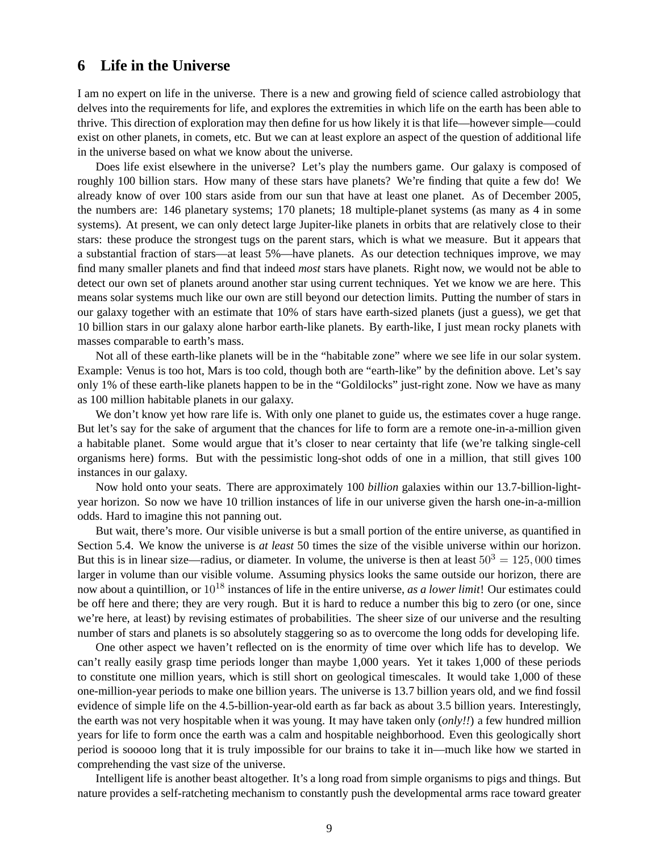# **6 Life in the Universe**

I am no expert on life in the universe. There is a new and growing field of science called astrobiology that delves into the requirements for life, and explores the extremities in which life on the earth has been able to thrive. This direction of exploration may then define for us how likely it is that life—however simple—could exist on other planets, in comets, etc. But we can at least explore an aspect of the question of additional life in the universe based on what we know about the universe.

Does life exist elsewhere in the universe? Let's play the numbers game. Our galaxy is composed of roughly 100 billion stars. How many of these stars have planets? We're finding that quite a few do! We already know of over 100 stars aside from our sun that have at least one planet. As of December 2005, the numbers are: 146 planetary systems; 170 planets; 18 multiple-planet systems (as many as 4 in some systems). At present, we can only detect large Jupiter-like planets in orbits that are relatively close to their stars: these produce the strongest tugs on the parent stars, which is what we measure. But it appears that a substantial fraction of stars—at least 5%—have planets. As our detection techniques improve, we may find many smaller planets and find that indeed *most* stars have planets. Right now, we would not be able to detect our own set of planets around another star using current techniques. Yet we know we are here. This means solar systems much like our own are still beyond our detection limits. Putting the number of stars in our galaxy together with an estimate that 10% of stars have earth-sized planets (just a guess), we get that 10 billion stars in our galaxy alone harbor earth-like planets. By earth-like, I just mean rocky planets with masses comparable to earth's mass.

Not all of these earth-like planets will be in the "habitable zone" where we see life in our solar system. Example: Venus is too hot, Mars is too cold, though both are "earth-like" by the definition above. Let's say only 1% of these earth-like planets happen to be in the "Goldilocks" just-right zone. Now we have as many as 100 million habitable planets in our galaxy.

We don't know yet how rare life is. With only one planet to guide us, the estimates cover a huge range. But let's say for the sake of argument that the chances for life to form are a remote one-in-a-million given a habitable planet. Some would argue that it's closer to near certainty that life (we're talking single-cell organisms here) forms. But with the pessimistic long-shot odds of one in a million, that still gives 100 instances in our galaxy.

Now hold onto your seats. There are approximately 100 *billion* galaxies within our 13.7-billion-lightyear horizon. So now we have 10 trillion instances of life in our universe given the harsh one-in-a-million odds. Hard to imagine this not panning out.

But wait, there's more. Our visible universe is but a small portion of the entire universe, as quantified in Section 5.4. We know the universe is *at least* 50 times the size of the visible universe within our horizon. But this is in linear size—radius, or diameter. In volume, the universe is then at least  $50^3 = 125,000$  times larger in volume than our visible volume. Assuming physics looks the same outside our horizon, there are now about a quintillion, or 10<sup>18</sup> instances of life in the entire universe, *as a lower limit*! Our estimates could be off here and there; they are very rough. But it is hard to reduce a number this big to zero (or one, since we're here, at least) by revising estimates of probabilities. The sheer size of our universe and the resulting number of stars and planets is so absolutely staggering so as to overcome the long odds for developing life.

One other aspect we haven't reflected on is the enormity of time over which life has to develop. We can't really easily grasp time periods longer than maybe 1,000 years. Yet it takes 1,000 of these periods to constitute one million years, which is still short on geological timescales. It would take 1,000 of these one-million-year periods to make one billion years. The universe is 13.7 billion years old, and we find fossil evidence of simple life on the 4.5-billion-year-old earth as far back as about 3.5 billion years. Interestingly, the earth was not very hospitable when it was young. It may have taken only (*only!!*) a few hundred million years for life to form once the earth was a calm and hospitable neighborhood. Even this geologically short period is sooooo long that it is truly impossible for our brains to take it in—much like how we started in comprehending the vast size of the universe.

Intelligent life is another beast altogether. It's a long road from simple organisms to pigs and things. But nature provides a self-ratcheting mechanism to constantly push the developmental arms race toward greater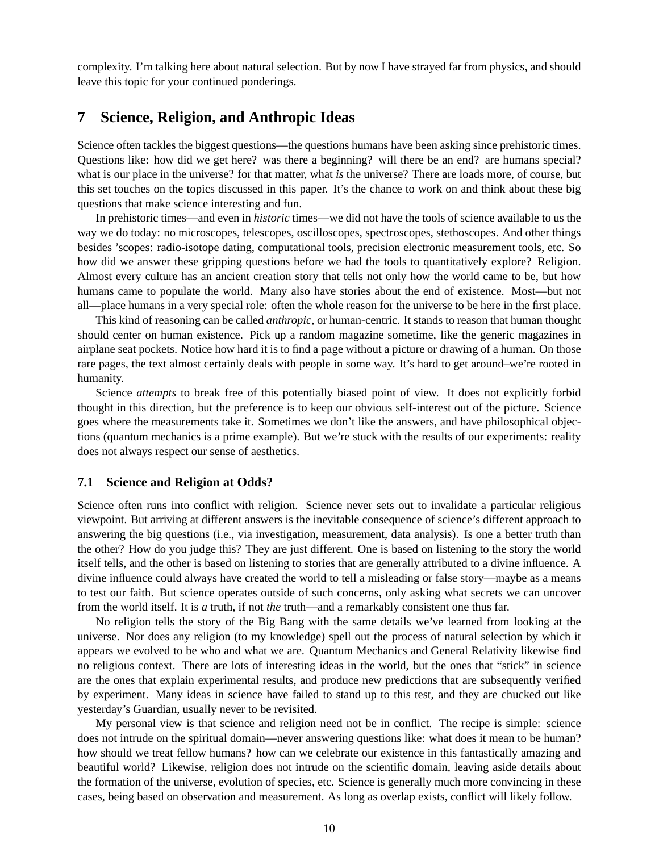complexity. I'm talking here about natural selection. But by now I have strayed far from physics, and should leave this topic for your continued ponderings.

## **7 Science, Religion, and Anthropic Ideas**

Science often tackles the biggest questions—the questions humans have been asking since prehistoric times. Questions like: how did we get here? was there a beginning? will there be an end? are humans special? what is our place in the universe? for that matter, what *is* the universe? There are loads more, of course, but this set touches on the topics discussed in this paper. It's the chance to work on and think about these big questions that make science interesting and fun.

In prehistoric times—and even in *historic* times—we did not have the tools of science available to us the way we do today: no microscopes, telescopes, oscilloscopes, spectroscopes, stethoscopes. And other things besides 'scopes: radio-isotope dating, computational tools, precision electronic measurement tools, etc. So how did we answer these gripping questions before we had the tools to quantitatively explore? Religion. Almost every culture has an ancient creation story that tells not only how the world came to be, but how humans came to populate the world. Many also have stories about the end of existence. Most—but not all—place humans in a very special role: often the whole reason for the universe to be here in the first place.

This kind of reasoning can be called *anthropic*, or human-centric. It stands to reason that human thought should center on human existence. Pick up a random magazine sometime, like the generic magazines in airplane seat pockets. Notice how hard it is to find a page without a picture or drawing of a human. On those rare pages, the text almost certainly deals with people in some way. It's hard to get around–we're rooted in humanity.

Science *attempts* to break free of this potentially biased point of view. It does not explicitly forbid thought in this direction, but the preference is to keep our obvious self-interest out of the picture. Science goes where the measurements take it. Sometimes we don't like the answers, and have philosophical objections (quantum mechanics is a prime example). But we're stuck with the results of our experiments: reality does not always respect our sense of aesthetics.

#### **7.1 Science and Religion at Odds?**

Science often runs into conflict with religion. Science never sets out to invalidate a particular religious viewpoint. But arriving at different answers is the inevitable consequence of science's different approach to answering the big questions (i.e., via investigation, measurement, data analysis). Is one a better truth than the other? How do you judge this? They are just different. One is based on listening to the story the world itself tells, and the other is based on listening to stories that are generally attributed to a divine influence. A divine influence could always have created the world to tell a misleading or false story—maybe as a means to test our faith. But science operates outside of such concerns, only asking what secrets we can uncover from the world itself. It is *a* truth, if not *the* truth—and a remarkably consistent one thus far.

No religion tells the story of the Big Bang with the same details we've learned from looking at the universe. Nor does any religion (to my knowledge) spell out the process of natural selection by which it appears we evolved to be who and what we are. Quantum Mechanics and General Relativity likewise find no religious context. There are lots of interesting ideas in the world, but the ones that "stick" in science are the ones that explain experimental results, and produce new predictions that are subsequently verified by experiment. Many ideas in science have failed to stand up to this test, and they are chucked out like yesterday's Guardian, usually never to be revisited.

My personal view is that science and religion need not be in conflict. The recipe is simple: science does not intrude on the spiritual domain—never answering questions like: what does it mean to be human? how should we treat fellow humans? how can we celebrate our existence in this fantastically amazing and beautiful world? Likewise, religion does not intrude on the scientific domain, leaving aside details about the formation of the universe, evolution of species, etc. Science is generally much more convincing in these cases, being based on observation and measurement. As long as overlap exists, conflict will likely follow.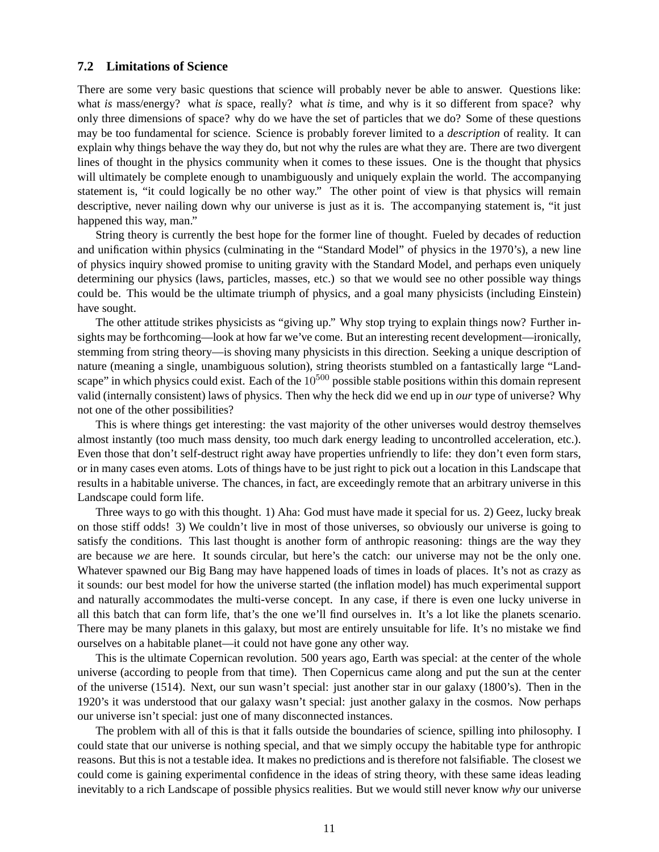#### **7.2 Limitations of Science**

There are some very basic questions that science will probably never be able to answer. Questions like: what *is* mass/energy? what *is* space, really? what *is* time, and why is it so different from space? why only three dimensions of space? why do we have the set of particles that we do? Some of these questions may be too fundamental for science. Science is probably forever limited to a *description* of reality. It can explain why things behave the way they do, but not why the rules are what they are. There are two divergent lines of thought in the physics community when it comes to these issues. One is the thought that physics will ultimately be complete enough to unambiguously and uniquely explain the world. The accompanying statement is, "it could logically be no other way." The other point of view is that physics will remain descriptive, never nailing down why our universe is just as it is. The accompanying statement is, "it just happened this way, man."

String theory is currently the best hope for the former line of thought. Fueled by decades of reduction and unification within physics (culminating in the "Standard Model" of physics in the 1970's), a new line of physics inquiry showed promise to uniting gravity with the Standard Model, and perhaps even uniquely determining our physics (laws, particles, masses, etc.) so that we would see no other possible way things could be. This would be the ultimate triumph of physics, and a goal many physicists (including Einstein) have sought.

The other attitude strikes physicists as "giving up." Why stop trying to explain things now? Further insights may be forthcoming—look at how far we've come. But an interesting recent development—ironically, stemming from string theory—is shoving many physicists in this direction. Seeking a unique description of nature (meaning a single, unambiguous solution), string theorists stumbled on a fantastically large "Landscape" in which physics could exist. Each of the  $10^{500}$  possible stable positions within this domain represent valid (internally consistent) laws of physics. Then why the heck did we end up in *our* type of universe? Why not one of the other possibilities?

This is where things get interesting: the vast majority of the other universes would destroy themselves almost instantly (too much mass density, too much dark energy leading to uncontrolled acceleration, etc.). Even those that don't self-destruct right away have properties unfriendly to life: they don't even form stars, or in many cases even atoms. Lots of things have to be just right to pick out a location in this Landscape that results in a habitable universe. The chances, in fact, are exceedingly remote that an arbitrary universe in this Landscape could form life.

Three ways to go with this thought. 1) Aha: God must have made it special for us. 2) Geez, lucky break on those stiff odds! 3) We couldn't live in most of those universes, so obviously our universe is going to satisfy the conditions. This last thought is another form of anthropic reasoning: things are the way they are because *we* are here. It sounds circular, but here's the catch: our universe may not be the only one. Whatever spawned our Big Bang may have happened loads of times in loads of places. It's not as crazy as it sounds: our best model for how the universe started (the inflation model) has much experimental support and naturally accommodates the multi-verse concept. In any case, if there is even one lucky universe in all this batch that can form life, that's the one we'll find ourselves in. It's a lot like the planets scenario. There may be many planets in this galaxy, but most are entirely unsuitable for life. It's no mistake we find ourselves on a habitable planet—it could not have gone any other way.

This is the ultimate Copernican revolution. 500 years ago, Earth was special: at the center of the whole universe (according to people from that time). Then Copernicus came along and put the sun at the center of the universe (1514). Next, our sun wasn't special: just another star in our galaxy (1800's). Then in the 1920's it was understood that our galaxy wasn't special: just another galaxy in the cosmos. Now perhaps our universe isn't special: just one of many disconnected instances.

The problem with all of this is that it falls outside the boundaries of science, spilling into philosophy. I could state that our universe is nothing special, and that we simply occupy the habitable type for anthropic reasons. But this is not a testable idea. It makes no predictions and is therefore not falsifiable. The closest we could come is gaining experimental confidence in the ideas of string theory, with these same ideas leading inevitably to a rich Landscape of possible physics realities. But we would still never know *why* our universe